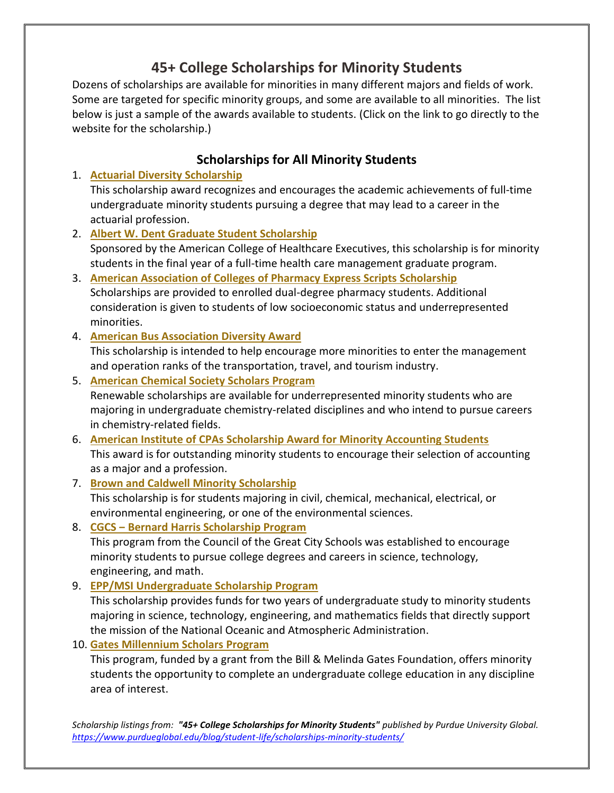# **45+ College Scholarships for Minority Students**

Dozens of scholarships are available for minorities in many different majors and fields of work. Some are targeted for specific minority groups, and some are available to all minorities. The list below is just a sample of the awards available to students. (Click on the link to go directly to the website for the scholarship.)

## **Scholarships for All Minority Students**

1. **[Actuarial Diversity Scholarship](https://www.actuarialfoundation.org/scholarships/actuarial-diversity-scholarship/)**

This scholarship award recognizes and encourages the academic achievements of full-time undergraduate minority students pursuing a degree that may lead to a career in the actuarial profession.

- 2. **[Albert W. Dent Graduate Student Scholarship](https://www.ache.org/membership/student-resources/albert-w-dent-graduate-student-scholarship)** Sponsored by the American College of Healthcare Executives, this scholarship is for minority students in the final year of a full-time health care management graduate program.
- 3. **[American Association of Colleges of Pharmacy Express Scripts Scholarship](https://www.aacp.org/resource/express-scripts-scholars-program)** Scholarships are provided to enrolled dual-degree pharmacy students. Additional consideration is given to students of low socioeconomic status and underrepresented minorities.
- 4. **[American Bus Association Diversity Award](https://www.buses.org/aba-foundation/scholarships/diversity)**

This scholarship is intended to help encourage more minorities to enter the management and operation ranks of the transportation, travel, and tourism industry.

- 5. **[American Chemical Society Scholars Program](https://www.acs.org/content/acs/en/funding-and-awards/scholarships/acsscholars.html)** Renewable scholarships are available for underrepresented minority students who are majoring in undergraduate chemistry-related disciplines and who intend to pursue careers in chemistry-related fields.
- 6. **[American Institute of CPAs Scholarship Award for Minority Accounting Students](https://www.aicpa.org/career/diversityinitiatives/smas.html)** This award is for outstanding minority students to encourage their selection of accounting as a major and a profession.
- 7. **[Brown and Caldwell Minority Scholarship](https://brownandcaldwell.com/careers/minority-scholarship/)** This scholarship is for students majoring in civil, chemical, mechanical, electrical, or environmental engineering, or one of the environmental sciences.
- 8. **[CGCS ‒ Bernard Harris Scholarship Program](https://www.cgcs.org/domain/19)**

This program from the Council of the Great City Schools was established to encourage minority students to pursue college degrees and careers in science, technology, engineering, and math.

9. **[EPP/MSI Undergraduate Scholarship Program](https://www.noaa.gov/office-education/epp-msi/undergraduate-scholarship)**

This scholarship provides funds for two years of undergraduate study to minority students majoring in science, technology, engineering, and mathematics fields that directly support the mission of the National Oceanic and Atmospheric Administration.

10. **[Gates Millennium Scholars Program](https://gmsp.org/)**

This program, funded by a grant from the Bill & Melinda Gates Foundation, offers minority students the opportunity to complete an undergraduate college education in any discipline area of interest.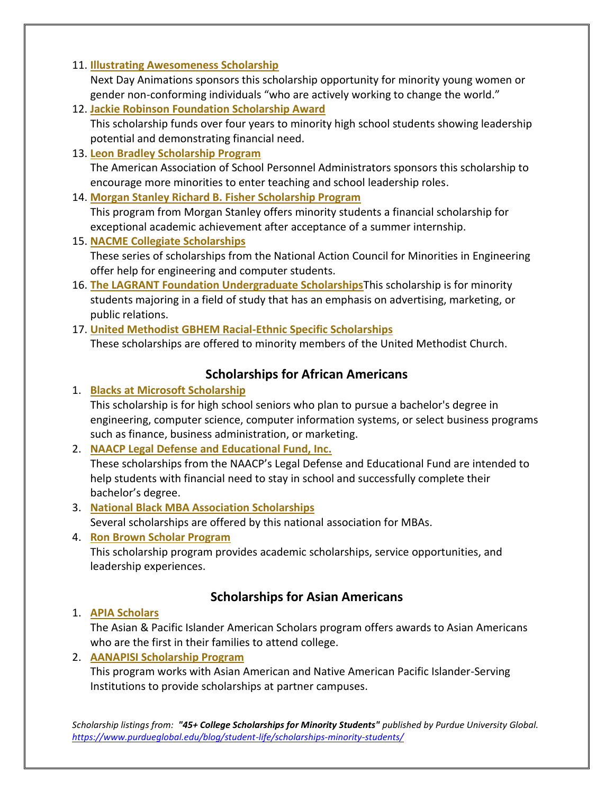#### 11. **[Illustrating Awesomeness Scholarship](https://nextdayanimations.com/scholarship/)**

Next Day Animations sponsors this scholarship opportunity for minority young women or gender non-conforming individuals "who are actively working to change the world."

- 12. **[Jackie Robinson Foundation Scholarship Award](https://www.jackierobinson.org/apply/)** This scholarship funds over four years to minority high school students showing leadership potential and demonstrating financial need.
- 13. **[Leon Bradley Scholarship Program](https://www.aaspa.org/leon-bradley-scholarship)**

The American Association of School Personnel Administrators sponsors this scholarship to encourage more minorities to enter teaching and school leadership roles.

14. **[Morgan Stanley Richard B. Fisher Scholarship Program](https://www.morganstanley.com/people-opportunities/students-graduates/programs/diversity/morgan-stanley-richard-b-fisher-scholarship-program-north-america)**

This program from Morgan Stanley offers minority students a financial scholarship for exceptional academic achievement after acceptance of a summer internship.

15. **[NACME Collegiate Scholarships](https://www.nacme.org/scholarships)**

These series of scholarships from the National Action Council for Minorities in Engineering offer help for engineering and computer students.

- 16. **[The LAGRANT Foundation Undergraduate Scholarships](https://www.lagrantfoundation.org/Scholarship%20Program)**This scholarship is for minority students majoring in a field of study that has an emphasis on advertising, marketing, or public relations.
- 17. **[United Methodist GBHEM Racial-Ethnic Specific Scholarships](https://www.purdueglobal.edu/www.gbhem.org/loans-scholarships/scholarships/list-of-scholarships/#racial-ethnic)** These scholarships are offered to minority members of the United Methodist Church.

## **Scholarships for African Americans**

1. **[Blacks at Microsoft Scholarship](https://www.microsoft.com/en-us/diversity/programs/blacks-scholarships.aspx)**

This scholarship is for high school seniors who plan to pursue a bachelor's degree in engineering, computer science, computer information systems, or select business programs such as finance, business administration, or marketing.

2. **[NAACP Legal Defense and Educational Fund, Inc.](https://www.naacpldf.org/about-us/naacp-scholarships/)**

These scholarships from the NAACP's Legal Defense and Educational Fund are intended to help students with financial need to stay in school and successfully complete their bachelor's degree.

- 3. **[National Black MBA Association Scholarships](https://nbmbaa.org/scholarships/)** Several scholarships are offered by this national association for MBAs.
- 4. **[Ron Brown Scholar Program](https://www.ronbrown.org/section/apply/program-description)**

This scholarship program provides academic scholarships, service opportunities, and leadership experiences.

#### **Scholarships for Asian Americans**

#### 1. **[APIA Scholars](https://apiascholars.org/scholarship/apia-scholarship/)**

The Asian & Pacific Islander American Scholars program offers awards to Asian Americans who are the first in their families to attend college.

#### 2. **[AANAPISI Scholarship Program](https://apiascholars.org/scholarship/aanapisi-scholarship/)**

This program works with Asian American and Native American Pacific Islander-Serving Institutions to provide scholarships at partner campuses.

*Scholarship listings from: "45+ College Scholarships for Minority Students" published by Purdue University Global. <https://www.purdueglobal.edu/blog/student-life/scholarships-minority-students/>*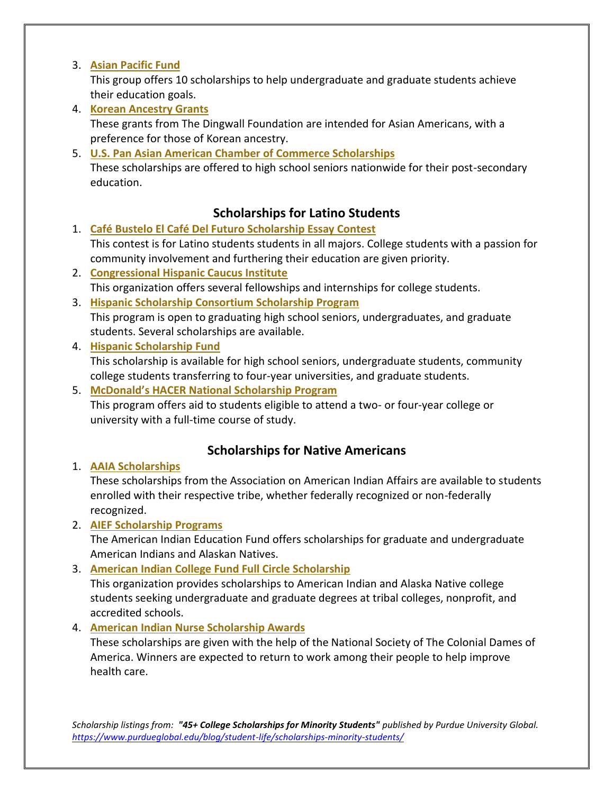#### 3. **[Asian Pacific Fund](http://asianpacificfund.org/what-we-do/scholarships/)**

This group offers 10 scholarships to help undergraduate and graduate students achieve their education goals.

- 4. **[Korean Ancestry Grants](https://dingwallfoundation.org/grants/)** These grants from The Dingwall Foundation are intended for Asian Americans, with a preference for those of Korean ancestry.
- 5. **[U.S. Pan Asian American Chamber of Commerce Scholarships](https://uspaacc.com/programs/education/college-scholarships)**

These scholarships are offered to high school seniors nationwide for their post-secondary education.

### **Scholarships for Latino Students**

- 1. **[Café Bustelo El Café Del Futuro Scholarship Essay Contest](https://www.cafebustelo.com/en/scholarship)** This contest is for Latino students students in all majors. College students with a passion for community involvement and furthering their education are given priority.
- 2. **[Congressional Hispanic Caucus Institute](https://chci.org/programs/)** This organization offers several fellowships and internships for college students.
- 3. **[Hispanic Scholarship Consortium Scholarship Program](https://www.hispanicscholar.org/apply)** This program is open to graduating high school seniors, undergraduates, and graduate students. Several scholarships are available.
- 4. **[Hispanic Scholarship Fund](https://hsf.net/en/scholarships/programs/general-college-scholarships)**

This scholarship is available for high school seniors, undergraduate students, community college students transferring to four-year universities, and graduate students.

5. **[McDonald's HACER National Scholarship Program](https://www.mcdonalds.com/us/en-us/community/hacer.html)**

This program offers aid to students eligible to attend a two- or four-year college or university with a full-time course of study.

## **Scholarships for Native Americans**

1. **[AAIA Scholarships](https://www.indian-affairs.org/scholarships.html)**

These scholarships from the Association on American Indian Affairs are available to students enrolled with their respective tribe, whether federally recognized or non-federally recognized.

2. **[AIEF Scholarship Programs](http://www.nativepartnership.org/site/PageServer?pagename=aief_services_scholarships)**

The American Indian Education Fund offers scholarships for graduate and undergraduate American Indians and Alaskan Natives.

#### 3. **[American Indian College Fund Full Circle Scholarship](https://collegefund.org/students/scholarships/)**

This organization provides scholarships to American Indian and Alaska Native college students seeking undergraduate and graduate degrees at tribal colleges, nonprofit, and accredited schools.

#### 4. **[American Indian Nurse Scholarship Awards](https://nscda.org/ains/)**

These scholarships are given with the help of the National Society of The Colonial Dames of America. Winners are expected to return to work among their people to help improve health care.

*Scholarship listings from: "45+ College Scholarships for Minority Students" published by Purdue University Global. <https://www.purdueglobal.edu/blog/student-life/scholarships-minority-students/>*